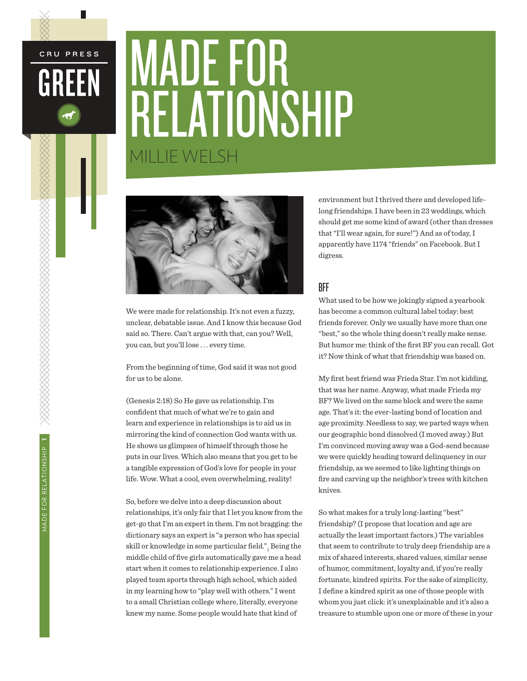# MADE FOR RELATIONSHIP MILLIE WELSH



We were made for relationship. It's not even a fuzzy, unclear, debatable issue. And I know this because God said so. There. Can't argue with that, can you? Well, you can, but you'll lose . . . every time.

From the beginning of time, God said it was not good for us to be alone.

(Genesis 2:18) So He gave us relationship. I'm confident that much of what we're to gain and learn and experience in relationships is to aid us in mirroring the kind of connection God wants with us. He shows us glimpses of himself through those he puts in our lives. Which also means that you get to be a tangible expression of God's love for people in your life. Wow. What a cool, even overwhelming, reality!

So, before we delve into a deep discussion about relationships, it's only fair that I let you know from the get-go that I'm an expert in them. I'm not bragging: the dictionary says an expert is "a person who has special skill or knowledge in some particular field." $\rm _i$  Being the middle child of five girls automatically gave me a head start when it comes to relationship experience. I also played team sports through high school, which aided in my learning how to "play well with others." I went to a small Christian college where, literally, everyone knew my name. Some people would hate that kind of

environment but I thrived there and developed lifelong friendships. I have been in 23 weddings, which should get me some kind of award (other than dresses that "I'll wear again, for sure!") And as of today, I apparently have 1174 "friends" on Facebook. But I digress.

### BFF

What used to be how we jokingly signed a yearbook has become a common cultural label today: best friends forever. Only we usually have more than one "best," so the whole thing doesn't really make sense. But humor me: think of the first BF you can recall. Got it? Now think of what that friendship was based on.

My first best friend was Frieda Star. I'm not kidding, that was her name. Anyway, what made Frieda my BF? We lived on the same block and were the same age. That's it: the ever-lasting bond of location and age proximity. Needless to say, we parted ways when our geographic bond dissolved (I moved away.) But I'm convinced moving away was a God-send because we were quickly heading toward delinquency in our friendship, as we seemed to like lighting things on fire and carving up the neighbor's trees with kitchen knives.

So what makes for a truly long-lasting "best" friendship? (I propose that location and age are actually the least important factors.) The variables that seem to contribute to truly deep friendship are a mix of shared interests, shared values, similar sense of humor, commitment, loyalty and, if you're really fortunate, kindred spirits. For the sake of simplicity, I define a kindred spirit as one of those people with whom you just click: it's unexplainable and it's also a treasure to stumble upon one or more of these in your

CRU PRESS

GREEN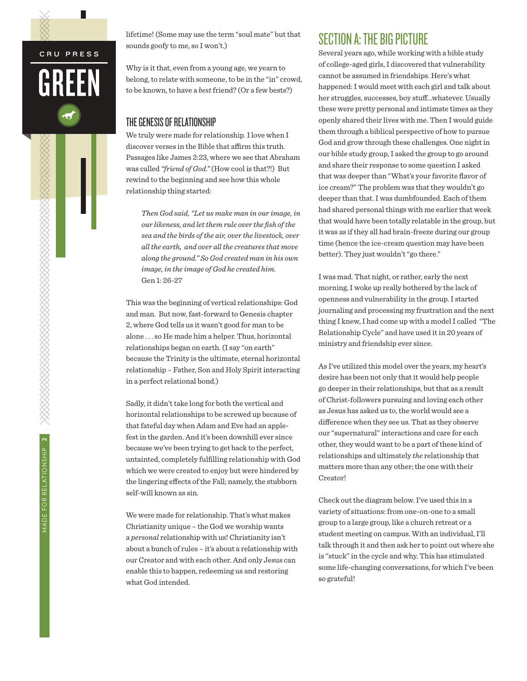L

lifetime! (Some may use the term "soul mate" but that sounds goofy to me, so I won't.)

Why is it that, even from a young age, we yearn to belong, to relate with someone, to be in the "in" crowd, to be known, to have a *best* friend? (Or a few bests?)

### THE GENESIS OF RELATIONSHIP

We truly were made for relationship. I love when I discover verses in the Bible that affirm this truth. Passages like James 2:23, where we see that Abraham was called *"friend of God."* (How cool is that?!) But rewind to the beginning and see how this whole relationship thing started:

*Then God said, "Let us make man in our image, in our likeness, and let them rule over the fish of the sea and the birds of the air, over the livestock, over all the earth, and over all the creatures that move along the ground." So God created man in his own image, in the image of God he created him.*  Gen 1: 26-27

This was the beginning of vertical relationships: God and man. But now, fast-forward to Genesis chapter 2, where God tells us it wasn't good for man to be alone . . . so He made him a helper. Thus, horizontal relationships began on earth. (I say "on earth" because the Trinity is the ultimate, eternal horizontal relationship – Father, Son and Holy Spirit interacting in a perfect relational bond.)

Sadly, it didn't take long for both the vertical and horizontal relationships to be screwed up because of that fateful day when Adam and Eve had an applefest in the garden. And it's been downhill ever since because we've been trying to get back to the perfect, untainted, completely fulfilling relationship with God which we were created to enjoy but were hindered by the lingering effects of the Fall; namely, the stubborn self-will known as sin.

We were made for relationship. That's what makes Christianity unique – the God we worship wants a *personal* relationship with us! Christianity isn't about a bunch of rules – it's about a relationship with our Creator and with each other. And only Jesus can enable this to happen, redeeming us and restoring what God intended.

### SECTION A: THE BIG PICTURE

Several years ago, while working with a bible study of college-aged girls, I discovered that vulnerability cannot be assumed in friendships. Here's what happened: I would meet with each girl and talk about her struggles, successes, boy stuff...whatever. Usually these were pretty personal and intimate times as they openly shared their lives with me. Then I would guide them through a biblical perspective of how to pursue God and grow through these challenges. One night in our bible study group, I asked the group to go around and share their response to some question I asked that was deeper than "What's your favorite flavor of ice cream?" The problem was that they wouldn't go deeper than that. I was dumbfounded. Each of them had shared personal things with me earlier that week that would have been totally relatable in the group, but it was as if they all had brain-freeze during our group time (hence the ice-cream question may have been better). They just wouldn't "go there."

I was mad. That night, or rather, early the next morning, I woke up really bothered by the lack of openness and vulnerability in the group. I started journaling and processing my frustration and the next thing I knew, I had come up with a model I called "The Relationship Cycle" and have used it in 20 years of ministry and friendship ever since.

As I've utilized this model over the years, my heart's desire has been not only that it would help people go deeper in their relationships, but that as a result of Christ-followers pursuing and loving each other as Jesus has asked us to, the world would see a difference when they see us. That as they observe our "supernatural" interactions and care for each other, they would want to be a part of these kind of relationships and ultimately *the* relationship that matters more than any other; the one with their Creator!

Check out the diagram below. I've used this in a variety of situations: from one-on-one to a small group to a large group, like a church retreat or a student meeting on campus. With an individual, I'll talk through it and then ask her to point out where she is "stuck" in the cycle and why. This has stimulated some life-changing conversations, for which I've been so grateful!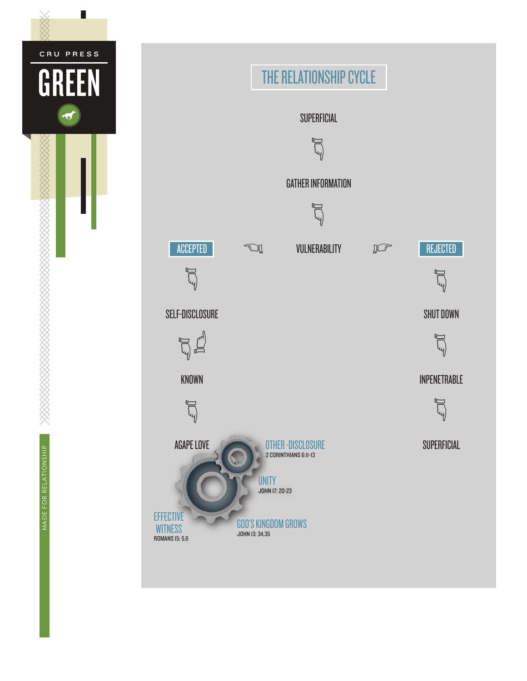

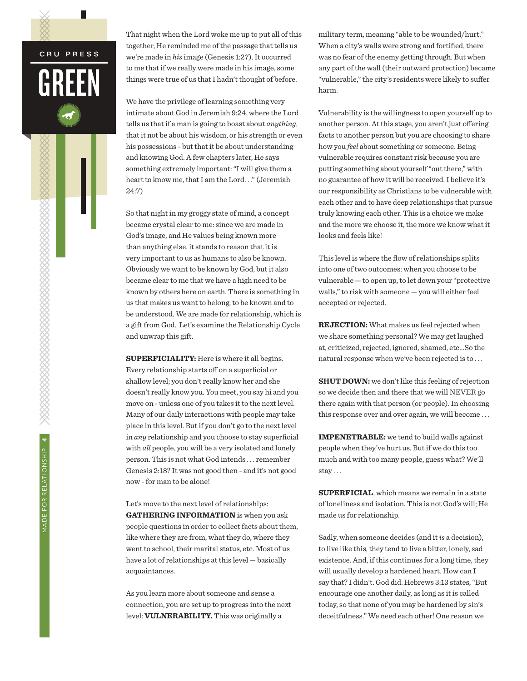That night when the Lord woke me up to put all of this together, He reminded me of the passage that tells us we're made in *his* image (Genesis 1:27). It occurred to me that if we really were made in his image, some things were true of us that I hadn't thought of before.

We have the privilege of learning something very intimate about God in Jeremiah 9:24, where the Lord tells us that if a man is going to boast about *anything*, that it not be about his wisdom, or his strength or even his possessions - but that it be about understanding and knowing God. A few chapters later, He says something extremely important: "I will give them a heart to know me, that I am the Lord. . ." (Jeremiah 24:7)

So that night in my groggy state of mind, a concept became crystal clear to me: since we are made in God's image, and He values being known more than anything else, it stands to reason that it is very important to us as humans to also be known. Obviously we want to be known by God, but it also became clear to me that we have a high need to be known by others here on earth. There is something in us that makes us want to belong, to be known and to be understood. We are made for relationship, which is a gift from God. Let's examine the Relationship Cycle and unwrap this gift.

**SUPERFICIALITY:** Here is where it all begins. Every relationship starts off on a superficial or shallow level; you don't really know her and she doesn't really know you. You meet, you say hi and you move on - unless one of you takes it to the next level. Many of our daily interactions with people may take place in this level. But if you don't go to the next level in *any* relationship and you choose to stay superficial with *all* people, you will be a very isolated and lonely person. This is not what God intends . . . remember Genesis 2:18? It was not good then - and it's not good now - for man to be alone!

Let's move to the next level of relationships: **GATHERING INFORMATION** is when you ask people questions in order to collect facts about them, like where they are from, what they do, where they went to school, their marital status, etc. Most of us have a lot of relationships at this level — basically acquaintances.

As you learn more about someone and sense a connection, you are set up to progress into the next level: **VULNERABILITY.** This was originally a

military term, meaning "able to be wounded/hurt." When a city's walls were strong and fortified, there was no fear of the enemy getting through. But when any part of the wall (their outward protection) became "vulnerable," the city's residents were likely to suffer harm.

Vulnerability is the willingness to open yourself up to another person. At this stage, you aren't just offering facts to another person but you are choosing to share how you *feel* about something or someone. Being vulnerable requires constant risk because you are putting something about yourself "out there," with no guarantee of how it will be received. I believe it's our responsibility as Christians to be vulnerable with each other and to have deep relationships that pursue truly knowing each other. This is a choice we make and the more we choose it, the more we know what it looks and feels like!

This level is where the flow of relationships splits into one of two outcomes: when you choose to be vulnerable — to open up, to let down your "protective walls," to risk with someone — you will either feel accepted or rejected.

**REJECTION:** What makes us feel rejected when we share something personal? We may get laughed at, criticized, rejected, ignored, shamed, etc…So the natural response when we've been rejected is to . . .

**SHUT DOWN:** we don't like this feeling of rejection so we decide then and there that we will NEVER go there again with that person (or people). In choosing this response over and over again, we will become . . .

**IMPENETRABLE:** we tend to build walls against people when they've hurt us. But if we do this too much and with too many people, guess what? We'll stay . . .

**SUPERFICIAL**, which means we remain in a state of loneliness and isolation. This is not God's will; He made us for relationship.

Sadly, when someone decides (and it *is* a decision), to live like this, they tend to live a bitter, lonely, sad existence. And, if this continues for a long time, they will usually develop a hardened heart. How can I say that? I didn't. God did. Hebrews 3:13 states, "But encourage one another daily, as long as it is called today, so that none of you may be hardened by sin's deceitfulness." We need each other! One reason we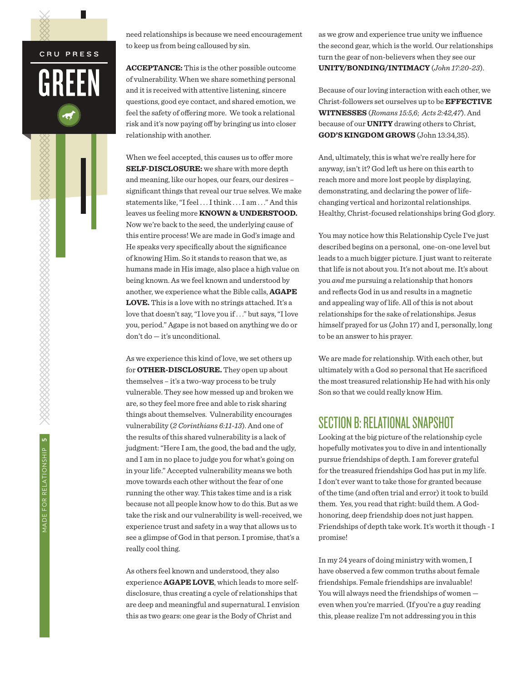L

need relationships is because we need encouragement to keep us from being calloused by sin.

**ACCEPTANCE:** This is the other possible outcome of vulnerability. When we share something personal and it is received with attentive listening, sincere questions, good eye contact, and shared emotion, we feel the safety of offering more. We took a relational risk and it's now paying off by bringing us into closer relationship with another.

When we feel accepted, this causes us to offer more **SELF-DISCLOSURE:** we share with more depth and meaning, like our hopes, our fears, our desires – significant things that reveal our true selves. We make statements like, "I feel . . . I think . . . I am . . ." And this leaves us feeling more **KNOWN & UNDERSTOOD.** Now we're back to the seed, the underlying cause of this entire process! We are made in God's image and He speaks very specifically about the significance of knowing Him. So it stands to reason that we, as humans made in His image, also place a high value on being known. As we feel known and understood by another, we experience what the Bible calls, **AGAPE LOVE.** This is a love with no strings attached. It's a love that doesn't say, "I love you if . . ." but says, "I love you, period." Agape is not based on anything we do or don't do — it's unconditional.

As we experience this kind of love, we set others up for **OTHER-DISCLOSURE.** They open up about themselves – it's a two-way process to be truly vulnerable. They see how messed up and broken we are, so they feel more free and able to risk sharing things about themselves. Vulnerability encourages vulnerability (*2 Corinthians 6:11-13*). And one of the results of this shared vulnerability is a lack of judgment: "Here I am, the good, the bad and the ugly, and I am in no place to judge you for what's going on in your life." Accepted vulnerability means we both move towards each other without the fear of one running the other way. This takes time and is a risk because not all people know how to do this. But as we take the risk and our vulnerability is well-received, we experience trust and safety in a way that allows us to see a glimpse of God in that person. I promise, that's a really cool thing.

As others feel known and understood, they also experience **AGAPE LOVE**, which leads to more selfdisclosure, thus creating a cycle of relationships that are deep and meaningful and supernatural. I envision this as two gears: one gear is the Body of Christ and

as we grow and experience true unity we influence the second gear, which is the world. Our relationships turn the gear of non-believers when they see our **UNITY/BONDING/INTIMACY** (*John 17:20-23*).

Because of our loving interaction with each other, we Christ-followers set ourselves up to be **EFFECTIVE WITNESSES** (*Romans 15:5,6*; *Acts 2:42,47*). And because of our **UNITY** drawing others to Christ, **GOD'S KINGDOM GROWS** (John 13:34,35).

And, ultimately, this is what we're really here for anyway, isn't it? God left us here on this earth to reach more and more lost people by displaying, demonstrating, and declaring the power of lifechanging vertical and horizontal relationships. Healthy, Christ-focused relationships bring God glory.

You may notice how this Relationship Cycle I've just described begins on a personal, one-on-one level but leads to a much bigger picture. I just want to reiterate that life is not about you. It's not about me. It's about you *and* me pursuing a relationship that honors and reflects God in us and results in a magnetic and appealing way of life. All of this is not about relationships for the sake of relationships. Jesus himself prayed for us (John 17) and I, personally, long to be an answer to his prayer.

We are made for relationship. With each other, but ultimately with a God so personal that He sacrificed the most treasured relationship He had with his only Son so that we could really know Him.

### SECTION B: RELATIONAL SNAPSHOT

Looking at the big picture of the relationship cycle hopefully motivates you to dive in and intentionally pursue friendships of depth. I am forever grateful for the treasured friendships God has put in my life. I don't ever want to take those for granted because of the time (and often trial and error) it took to build them. Yes, you read that right: build them. A Godhonoring, deep friendship does not just happen. Friendships of depth take work. It's worth it though - I promise!

In my 24 years of doing ministry with women, I have observed a few common truths about female friendships. Female friendships are invaluable! You will always need the friendships of women even when you're married. (If you're a guy reading this, please realize I'm not addressing you in this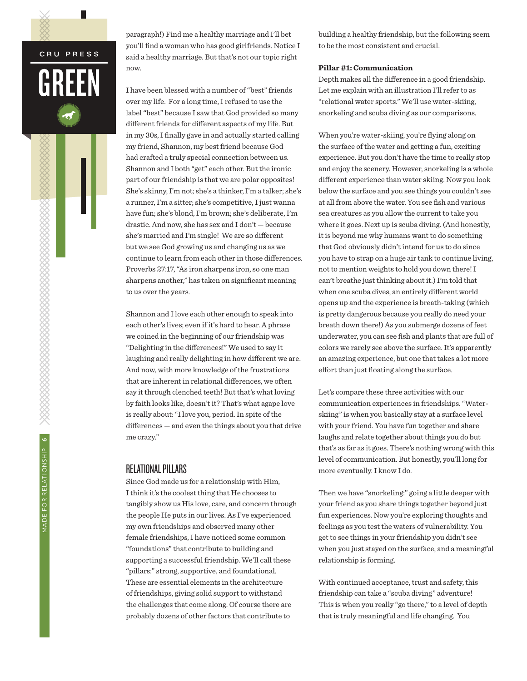paragraph!) Find me a healthy marriage and I'll bet you'll find a woman who has good girlfriends. Notice I said a healthy marriage. But that's not our topic right now.

I have been blessed with a number of "best" friends over my life. For a long time, I refused to use the label "best" because I saw that God provided so many different friends for different aspects of my life. But in my 30s, I finally gave in and actually started calling my friend, Shannon, my best friend because God had crafted a truly special connection between us. Shannon and I both "get" each other. But the ironic part of our friendship is that we are polar opposites! She's skinny, I'm not; she's a thinker, I'm a talker; she's a runner, I'm a sitter; she's competitive, I just wanna have fun; she's blond, I'm brown; she's deliberate, I'm drastic. And now, she has sex and I don't — because she's married and I'm single! We are so different but we see God growing us and changing us as we continue to learn from each other in those differences. Proverbs 27:17, "As iron sharpens iron, so one man sharpens another," has taken on significant meaning to us over the years.

Shannon and I love each other enough to speak into each other's lives; even if it's hard to hear. A phrase we coined in the beginning of our friendship was "Delighting in the differences!" We used to say it laughing and really delighting in how different we are. And now, with more knowledge of the frustrations that are inherent in relational differences, we often say it through clenched teeth! But that's what loving by faith looks like, doesn't it? That's what agape love is really about: "I love you, period. In spite of the differences — and even the things about you that drive me crazy."

### RELATIONAL PILLARS

Since God made us for a relationship with Him, I think it's the coolest thing that He chooses to tangibly show us His love, care, and concern through the people He puts in our lives. As I've experienced my own friendships and observed many other female friendships, I have noticed some common "foundations" that contribute to building and supporting a successful friendship. We'll call these "pillars:" strong, supportive, and foundational. These are essential elements in the architecture of friendships, giving solid support to withstand the challenges that come along. Of course there are probably dozens of other factors that contribute to

building a healthy friendship, but the following seem to be the most consistent and crucial.

#### **Pillar #1: Communication**

Depth makes all the difference in a good friendship. Let me explain with an illustration I'll refer to as "relational water sports." We'll use water-skiing, snorkeling and scuba diving as our comparisons.

When you're water-skiing, you're flying along on the surface of the water and getting a fun, exciting experience. But you don't have the time to really stop and enjoy the scenery. However, snorkeling is a whole different experience than water skiing. Now you look below the surface and you see things you couldn't see at all from above the water. You see fish and various sea creatures as you allow the current to take you where it goes. Next up is scuba diving. (And honestly, it is beyond me why humans want to do something that God obviously didn't intend for us to do since you have to strap on a huge air tank to continue living, not to mention weights to hold you down there! I can't breathe just thinking about it.) I'm told that when one scuba dives, an entirely different world opens up and the experience is breath-taking (which is pretty dangerous because you really do need your breath down there!) As you submerge dozens of feet underwater, you can see fish and plants that are full of colors we rarely see above the surface. It's apparently an amazing experience, but one that takes a lot more effort than just floating along the surface.

Let's compare these three activities with our communication experiences in friendships. "Waterskiing" is when you basically stay at a surface level with your friend. You have fun together and share laughs and relate together about things you do but that's as far as it goes. There's nothing wrong with this level of communication. But honestly, you'll long for more eventually. I know I do.

Then we have "snorkeling:" going a little deeper with your friend as you share things together beyond just fun experiences. Now you're exploring thoughts and feelings as you test the waters of vulnerability. You get to see things in your friendship you didn't see when you just stayed on the surface, and a meaningful relationship is forming.

With continued acceptance, trust and safety, this friendship can take a "scuba diving" adventure! This is when you really "go there," to a level of depth that is truly meaningful and life changing. You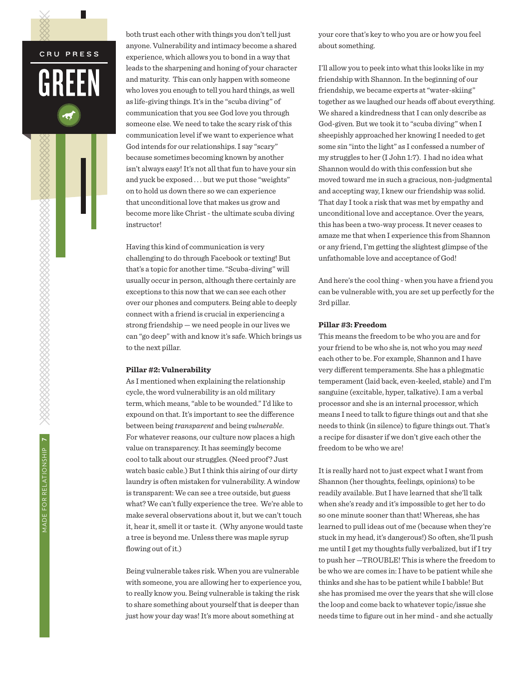L

both trust each other with things you don't tell just anyone. Vulnerability and intimacy become a shared experience, which allows you to bond in a way that leads to the sharpening and honing of your character and maturity. This can only happen with someone who loves you enough to tell you hard things, as well as life-giving things. It's in the "scuba diving" of communication that you see God love you through someone else. We need to take the scary risk of this communication level if we want to experience what God intends for our relationships. I say "scary" because sometimes becoming known by another isn't always easy! It's not all that fun to have your sin and yuck be exposed . . . but we put those "weights" on to hold us down there so we can experience that unconditional love that makes us grow and become more like Christ - the ultimate scuba diving instructor!

Having this kind of communication is very challenging to do through Facebook or texting! But that's a topic for another time. "Scuba-diving" will usually occur in person, although there certainly are exceptions to this now that we can see each other over our phones and computers. Being able to deeply connect with a friend is crucial in experiencing a strong friendship — we need people in our lives we can "go deep" with and know it's safe. Which brings us to the next pillar.

#### **Pillar #2: Vulnerability**

As I mentioned when explaining the relationship cycle, the word vulnerability is an old military term, which means, "able to be wounded." I'd like to expound on that. It's important to see the difference between being *transparent* and being *vulnerable*. For whatever reasons, our culture now places a high value on transparency. It has seemingly become cool to talk about our struggles. (Need proof? Just watch basic cable.) But I think this airing of our dirty laundry is often mistaken for vulnerability. A window is transparent: We can see a tree outside, but guess what? We can't fully experience the tree. We're able to make several observations about it, but we can't touch it, hear it, smell it or taste it. (Why anyone would taste a tree is beyond me. Unless there was maple syrup flowing out of it.)

Being vulnerable takes risk. When you are vulnerable with someone, you are allowing her to experience you, to really know you. Being vulnerable is taking the risk to share something about yourself that is deeper than just how your day was! It's more about something at

your core that's key to who you are or how you feel about something.

I'll allow you to peek into what this looks like in my friendship with Shannon. In the beginning of our friendship, we became experts at "water-skiing" together as we laughed our heads off about everything. We shared a kindredness that I can only describe as God-given. But we took it to "scuba diving" when I sheepishly approached her knowing I needed to get some sin "into the light" as I confessed a number of my struggles to her (I John 1:7). I had no idea what Shannon would do with this confession but she moved toward me in such a gracious, non-judgmental and accepting way, I knew our friendship was solid. That day I took a risk that was met by empathy and unconditional love and acceptance. Over the years, this has been a two-way process. It never ceases to amaze me that when I experience this from Shannon or any friend, I'm getting the slightest glimpse of the unfathomable love and acceptance of God!

And here's the cool thing - when you have a friend you can be vulnerable with, you are set up perfectly for the 3rd pillar.

#### **Pillar #3: Freedom**

This means the freedom to be who you are and for your friend to be who she is, not who you may *need*  each other to be. For example, Shannon and I have very different temperaments. She has a phlegmatic temperament (laid back, even-keeled, stable) and I'm sanguine (excitable, hyper, talkative). I am a verbal processor and she is an internal processor, which means I need to talk to figure things out and that she needs to think (in silence) to figure things out. That's a recipe for disaster if we don't give each other the freedom to be who we are!

It is really hard not to just expect what I want from Shannon (her thoughts, feelings, opinions) to be readily available. But I have learned that she'll talk when she's ready and it's impossible to get her to do so one minute sooner than that! Whereas, she has learned to pull ideas out of me (because when they're stuck in my head, it's dangerous!) So often, she'll push me until I get my thoughts fully verbalized, but if I try to push her —TROUBLE! This is where the freedom to be who we are comes in: I have to be patient while she thinks and she has to be patient while I babble! But she has promised me over the years that she will close the loop and come back to whatever topic/issue she needs time to figure out in her mind - and she actually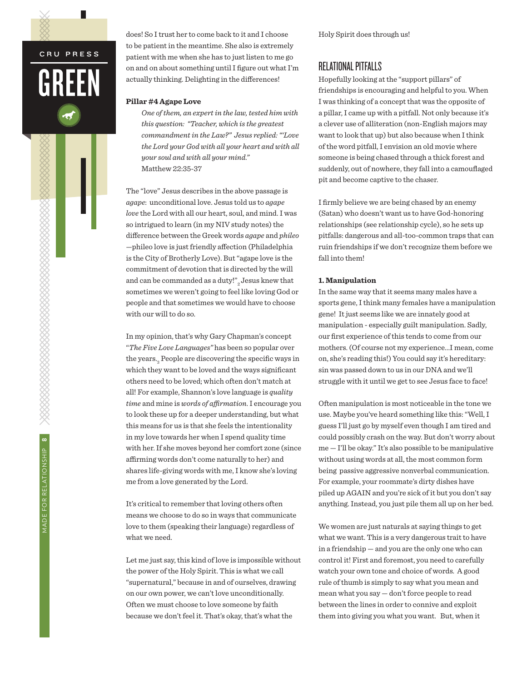does! So I trust her to come back to it and I choose to be patient in the meantime. She also is extremely patient with me when she has to just listen to me go on and on about something until I figure out what I'm actually thinking. Delighting in the differences!

#### **Pillar #4 Agape Love**

*One of them, an expert in the law, tested him with this question: "Teacher, which is the greatest commandment in the Law?" Jesus replied: "'Love the Lord your God with all your heart and with all your soul and with all your mind."* Matthew 22:35-37

The "love" Jesus describes in the above passage is *agape*: unconditional love. Jesus told us to *agape love* the Lord with all our heart, soul, and mind. I was so intrigued to learn (in my NIV study notes) the difference between the Greek words *agape* and *phileo* —phileo love is just friendly affection (Philadelphia is the City of Brotherly Love). But "agape love is the commitment of devotion that is directed by the will and can be commanded as a duty!" Jesus knew that sometimes we weren't going to feel like loving God or people and that sometimes we would have to choose with our will to do so.

In my opinion, that's why Gary Chapman's concept "*The Five Love Languages"* has been so popular over the years.<br> $\!_{\rm 3}$  People are discovering the specific ways in which they want to be loved and the ways significant others need to be loved; which often don't match at all! For example, Shannon's love language is *quality time* and mine is *words of affirmation*. I encourage you to look these up for a deeper understanding, but what this means for us is that she feels the intentionality in my love towards her when I spend quality time with her. If she moves beyond her comfort zone (since affirming words don't come naturally to her) and shares life-giving words with me, I know she's loving me from a love generated by the Lord.

It's critical to remember that loving others often means we choose to do so in ways that communicate love to them (speaking their language) regardless of what we need.

Let me just say, this kind of love is impossible without the power of the Holy Spirit. This is what we call "supernatural," because in and of ourselves, drawing on our own power, we can't love unconditionally. Often we must choose to love someone by faith because we don't feel it. That's okay, that's what the

Holy Spirit does through us!

### RELATIONAL PITFALLS

Hopefully looking at the "support pillars" of friendships is encouraging and helpful to you. When I was thinking of a concept that was the opposite of a pillar, I came up with a pitfall. Not only because it's a clever use of alliteration (non-English majors may want to look that up) but also because when I think of the word pitfall, I envision an old movie where someone is being chased through a thick forest and suddenly, out of nowhere, they fall into a camouflaged pit and become captive to the chaser.

I firmly believe we are being chased by an enemy (Satan) who doesn't want us to have God-honoring relationships (see relationship cycle), so he sets up pitfalls: dangerous and all-too-common traps that can ruin friendships if we don't recognize them before we fall into them!

#### **1. Manipulation**

In the same way that it seems many males have a sports gene, I think many females have a manipulation gene! It just seems like we are innately good at manipulation - especially guilt manipulation. Sadly, our first experience of this tends to come from our mothers. (Of course not my experience...I mean, come on, she's reading this!) You could say it's hereditary: sin was passed down to us in our DNA and we'll struggle with it until we get to see Jesus face to face!

Often manipulation is most noticeable in the tone we use. Maybe you've heard something like this: "Well, I guess I'll just go by myself even though I am tired and could possibly crash on the way. But don't worry about me — I'll be okay." It's also possible to be manipulative without using words at all, the most common form being passive aggressive nonverbal communication. For example, your roommate's dirty dishes have piled up AGAIN and you're sick of it but you don't say anything. Instead, you just pile them all up on her bed.

We women are just naturals at saying things to get what we want. This is a very dangerous trait to have in a friendship — and you are the only one who can control it! First and foremost, you need to carefully watch your own tone and choice of words. A good rule of thumb is simply to say what you mean and mean what you say — don't force people to read between the lines in order to connive and exploit them into giving you what you want. But, when it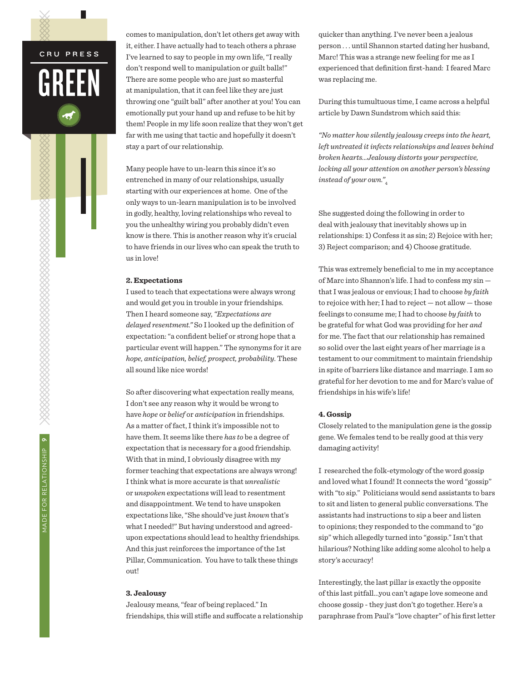comes to manipulation, don't let others get away with it, either. I have actually had to teach others a phrase I've learned to say to people in my own life, "I really don't respond well to manipulation or guilt balls!" There are some people who are just so masterful at manipulation, that it can feel like they are just throwing one "guilt ball" after another at you! You can emotionally put your hand up and refuse to be hit by them! People in my life soon realize that they won't get far with me using that tactic and hopefully it doesn't stay a part of our relationship.

Many people have to un-learn this since it's so entrenched in many of our relationships, usually starting with our experiences at home. One of the only ways to un-learn manipulation is to be involved in godly, healthy, loving relationships who reveal to you the unhealthy wiring you probably didn't even know is there. This is another reason why it's crucial to have friends in our lives who can speak the truth to us in love!

#### **2. Expectations**

I used to teach that expectations were always wrong and would get you in trouble in your friendships. Then I heard someone say, *"Expectations are delayed resentment."* So I looked up the definition of expectation: "a confident belief or strong hope that a particular event will happen." The synonyms for it are *hope, anticipation, belief, prospect, probability*. These all sound like nice words!

So after discovering what expectation really means, I don't see any reason why it would be wrong to have *hope* or *belief* or *anticipation* in friendships. As a matter of fact, I think it's impossible not to have them. It seems like there *has to* be a degree of expectation that is necessary for a good friendship. With that in mind, I obviously disagree with my former teaching that expectations are always wrong! I think what is more accurate is that *unrealistic* or *unspoken* expectations will lead to resentment and disappointment. We tend to have unspoken expectations like, "She should've just *known* that's what I needed!" But having understood and agreedupon expectations should lead to healthy friendships. And this just reinforces the importance of the 1st Pillar, Communication. You have to talk these things out!

#### **3. Jealousy**

Jealousy means, "fear of being replaced." In friendships, this will stifle and suffocate a relationship quicker than anything. I've never been a jealous person . . . until Shannon started dating her husband, Marc! This was a strange new feeling for me as I experienced that definition first-hand: I feared Marc was replacing me.

During this tumultuous time, I came across a helpful article by Dawn Sundstrom which said this:

*"No matter how silently jealousy creeps into the heart, left untreated it infects relationships and leaves behind broken hearts...Jealousy distorts your perspective, locking all your attention on another person's blessing instead of your own."*<sup>4</sup>

She suggested doing the following in order to deal with jealousy that inevitably shows up in relationships: 1) Confess it as sin; 2) Rejoice with her; 3) Reject comparison; and 4) Choose gratitude.

This was extremely beneficial to me in my acceptance of Marc into Shannon's life. I had to confess my sin that I was jealous or envious; I had to choose *by faith* to rejoice with her; I had to reject — not allow — those feelings to consume me; I had to choose *by faith* to be grateful for what God was providing for her *and* for me. The fact that our relationship has remained so solid over the last eight years of her marriage is a testament to our commitment to maintain friendship in spite of barriers like distance and marriage. I am so grateful for her devotion to me and for Marc's value of friendships in his wife's life!

#### **4. Gossip**

Closely related to the manipulation gene is the gossip gene. We females tend to be really good at this very damaging activity!

I researched the folk-etymology of the word gossip and loved what I found! It connects the word "gossip" with "to sip." Politicians would send assistants to bars to sit and listen to general public conversations. The assistants had instructions to sip a beer and listen to opinions; they responded to the command to "go sip" which allegedly turned into "gossip." Isn't that hilarious? Nothing like adding some alcohol to help a story's accuracy!

Interestingly, the last pillar is exactly the opposite of this last pitfall...you can't agape love someone and choose gossip - they just don't go together. Here's a paraphrase from Paul's "love chapter" of his first letter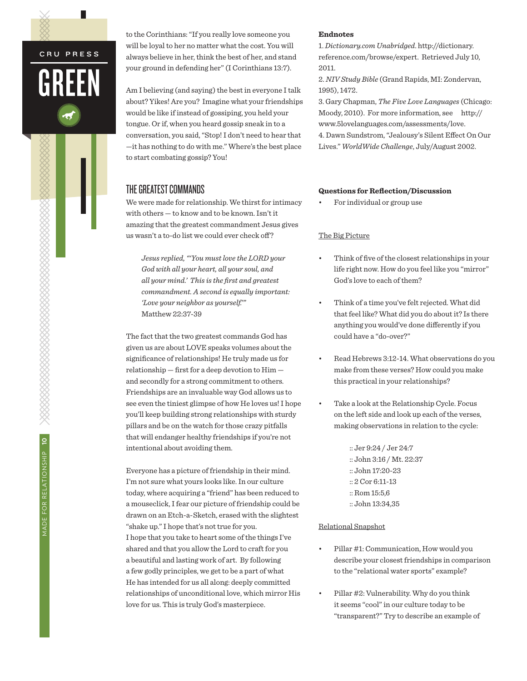to the Corinthians: "If you really love someone you will be loyal to her no matter what the cost. You will always believe in her, think the best of her, and stand your ground in defending her" (I Corinthians 13:7).

Am I believing (and saying) the best in everyone I talk about? Yikes! Are you? Imagine what your friendships would be like if instead of gossiping, you held your tongue. Or if, when you heard gossip sneak in to a conversation, you said, "Stop! I don't need to hear that —it has nothing to do with me." Where's the best place to start combating gossip? You!

### THE GREATEST COMMANDS

We were made for relationship. We thirst for intimacy with others — to know and to be known. Isn't it amazing that the greatest commandment Jesus gives us wasn't a to-do list we could ever check off ?

*Jesus replied, "'You must love the LORD your God with all your heart, all your soul, and all your mind.' This is the first and greatest commandment. A second is equally important: 'Love your neighbor as yourself.'"*  Matthew 22:37-39

The fact that the two greatest commands God has given us are about LOVE speaks volumes about the significance of relationships! He truly made us for relationship — first for a deep devotion to Him and secondly for a strong commitment to others. Friendships are an invaluable way God allows us to see even the tiniest glimpse of how He loves us! I hope you'll keep building strong relationships with sturdy pillars and be on the watch for those crazy pitfalls that will endanger healthy friendships if you're not intentional about avoiding them.

Everyone has a picture of friendship in their mind. I'm not sure what yours looks like. In our culture today, where acquiring a "friend" has been reduced to a mouseclick, I fear our picture of friendship could be drawn on an Etch-a-Sketch, erased with the slightest "shake up." I hope that's not true for you. I hope that you take to heart some of the things I've shared and that you allow the Lord to craft for you a beautiful and lasting work of art. By following a few godly principles, we get to be a part of what He has intended for us all along: deeply committed relationships of unconditional love, which mirror His love for us. This is truly God's masterpiece.

#### **Endnotes**

1. *Dictionary.com Unabridged*. http://dictionary. reference.com/browse/expert. Retrieved July 10, 2011.

2. *NIV Study Bible* (Grand Rapids, MI: Zondervan, 1995), 1472.

3. Gary Chapman, *The Five Love Languages* (Chicago: Moody, 2010). For more information, see http:// www.5lovelanguages.com/assessments/love. 4. Dawn Sundstrom, "Jealousy's Silent Effect On Our Lives." *WorldWide Challenge*, July/August 2002.

#### **Questions for Reflection/Discussion**

For individual or group use

#### The Big Picture

- Think of five of the closest relationships in your life right now. How do you feel like you "mirror" God's love to each of them?
- Think of a time you've felt rejected. What did that feel like? What did you do about it? Is there anything you would've done differently if you could have a "do-over?"
- • Read Hebrews 3:12-14. What observations do you make from these verses? How could you make this practical in your relationships?
- Take a look at the Relationship Cycle. Focus on the left side and look up each of the verses, making observations in relation to the cycle:

:: Jer 9:24 / Jer 24:7 :: John 3:16 / Mt. 22:37 :: John 17:20-23 :: 2 Cor 6:11-13 :: Rom 15:5,6 :: John 13:34,35

#### Relational Snapshot

- Pillar #1: Communication, How would you describe your closest friendships in comparison to the "relational water sports" example?
- Pillar #2: Vulnerability. Why do you think it seems "cool" in our culture today to be "transparent?" Try to describe an example of